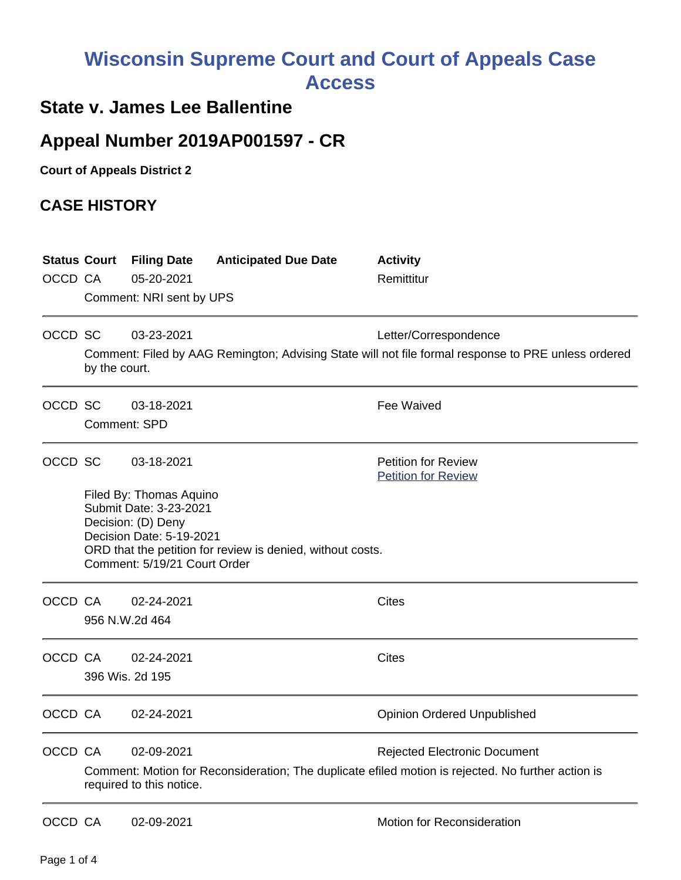# **Wisconsin Supreme Court and Court of Appeals Case Access**

### **State v. James Lee Ballentine**

## **Appeal Number 2019AP001597 - CR**

**Court of Appeals District 2**

### **CASE HISTORY**

| OCCD CA | <b>Status Court</b>                                                                                                                                         | <b>Filing Date</b><br>05-20-2021<br>Comment: NRI sent by UPS                                                                        | <b>Anticipated Due Date</b>                                | <b>Activity</b><br>Remittitur                                                                                                             |  |
|---------|-------------------------------------------------------------------------------------------------------------------------------------------------------------|-------------------------------------------------------------------------------------------------------------------------------------|------------------------------------------------------------|-------------------------------------------------------------------------------------------------------------------------------------------|--|
| OCCD SC | 03-23-2021<br>Letter/Correspondence<br>Comment: Filed by AAG Remington; Advising State will not file formal response to PRE unless ordered<br>by the court. |                                                                                                                                     |                                                            |                                                                                                                                           |  |
| OCCD SC |                                                                                                                                                             | 03-18-2021<br><b>Comment: SPD</b>                                                                                                   |                                                            | <b>Fee Waived</b>                                                                                                                         |  |
| OCCD SC |                                                                                                                                                             | 03-18-2021                                                                                                                          |                                                            | <b>Petition for Review</b><br><b>Petition for Review</b>                                                                                  |  |
|         |                                                                                                                                                             | Filed By: Thomas Aquino<br>Submit Date: 3-23-2021<br>Decision: (D) Deny<br>Decision Date: 5-19-2021<br>Comment: 5/19/21 Court Order | ORD that the petition for review is denied, without costs. |                                                                                                                                           |  |
| OCCD CA |                                                                                                                                                             | 02-24-2021<br>956 N.W.2d 464                                                                                                        |                                                            | <b>Cites</b>                                                                                                                              |  |
| OCCD CA |                                                                                                                                                             | 02-24-2021<br>396 Wis. 2d 195                                                                                                       |                                                            | <b>Cites</b>                                                                                                                              |  |
| OCCD CA |                                                                                                                                                             | 02-24-2021                                                                                                                          |                                                            | <b>Opinion Ordered Unpublished</b>                                                                                                        |  |
| OCCD CA |                                                                                                                                                             | 02-09-2021<br>required to this notice.                                                                                              |                                                            | <b>Rejected Electronic Document</b><br>Comment: Motion for Reconsideration; The duplicate efiled motion is rejected. No further action is |  |
| OCCD CA |                                                                                                                                                             | 02-09-2021                                                                                                                          |                                                            | Motion for Reconsideration                                                                                                                |  |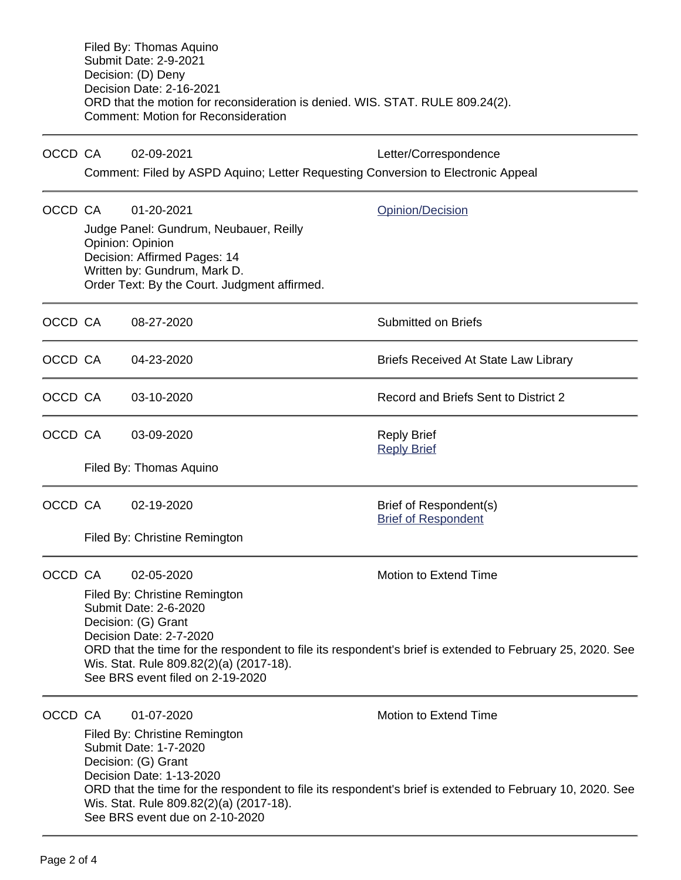|         | Filed By: Thomas Aquino<br><b>Submit Date: 2-9-2021</b><br>Decision: (D) Deny<br>Decision Date: 2-16-2021<br>ORD that the motion for reconsideration is denied. WIS. STAT. RULE 809.24(2).<br><b>Comment: Motion for Reconsideration</b>                                                             |                                                                                                                                                                            |                                                      |  |  |  |
|---------|------------------------------------------------------------------------------------------------------------------------------------------------------------------------------------------------------------------------------------------------------------------------------------------------------|----------------------------------------------------------------------------------------------------------------------------------------------------------------------------|------------------------------------------------------|--|--|--|
| OCCD CA |                                                                                                                                                                                                                                                                                                      | 02-09-2021                                                                                                                                                                 | Letter/Correspondence                                |  |  |  |
|         |                                                                                                                                                                                                                                                                                                      | Comment: Filed by ASPD Aquino; Letter Requesting Conversion to Electronic Appeal                                                                                           |                                                      |  |  |  |
| OCCD CA |                                                                                                                                                                                                                                                                                                      | 01-20-2021                                                                                                                                                                 | Opinion/Decision                                     |  |  |  |
|         |                                                                                                                                                                                                                                                                                                      | Judge Panel: Gundrum, Neubauer, Reilly<br>Opinion: Opinion<br>Decision: Affirmed Pages: 14<br>Written by: Gundrum, Mark D.<br>Order Text: By the Court. Judgment affirmed. |                                                      |  |  |  |
| OCCD CA |                                                                                                                                                                                                                                                                                                      | 08-27-2020                                                                                                                                                                 | <b>Submitted on Briefs</b>                           |  |  |  |
| OCCD CA |                                                                                                                                                                                                                                                                                                      | 04-23-2020                                                                                                                                                                 | <b>Briefs Received At State Law Library</b>          |  |  |  |
| OCCD CA |                                                                                                                                                                                                                                                                                                      | 03-10-2020                                                                                                                                                                 | Record and Briefs Sent to District 2                 |  |  |  |
| OCCD CA |                                                                                                                                                                                                                                                                                                      | 03-09-2020                                                                                                                                                                 | <b>Reply Brief</b><br><b>Reply Brief</b>             |  |  |  |
|         | Filed By: Thomas Aquino                                                                                                                                                                                                                                                                              |                                                                                                                                                                            |                                                      |  |  |  |
| OCCD CA |                                                                                                                                                                                                                                                                                                      | 02-19-2020                                                                                                                                                                 | Brief of Respondent(s)<br><b>Brief of Respondent</b> |  |  |  |
|         |                                                                                                                                                                                                                                                                                                      | Filed By: Christine Remington                                                                                                                                              |                                                      |  |  |  |
| OCCD CA |                                                                                                                                                                                                                                                                                                      | 02-05-2020                                                                                                                                                                 | Motion to Extend Time                                |  |  |  |
|         | Filed By: Christine Remington<br>Submit Date: 2-6-2020<br>Decision: (G) Grant<br>Decision Date: 2-7-2020<br>ORD that the time for the respondent to file its respondent's brief is extended to February 25, 2020. See<br>Wis. Stat. Rule 809.82(2)(a) (2017-18).<br>See BRS event filed on 2-19-2020 |                                                                                                                                                                            |                                                      |  |  |  |
| OCCD CA |                                                                                                                                                                                                                                                                                                      | 01-07-2020                                                                                                                                                                 | <b>Motion to Extend Time</b>                         |  |  |  |
|         | Filed By: Christine Remington<br>Submit Date: 1-7-2020<br>Decision: (G) Grant<br>Decision Date: 1-13-2020<br>ORD that the time for the respondent to file its respondent's brief is extended to February 10, 2020. See<br>Wis. Stat. Rule 809.82(2)(a) (2017-18).<br>See BRS event due on 2-10-2020  |                                                                                                                                                                            |                                                      |  |  |  |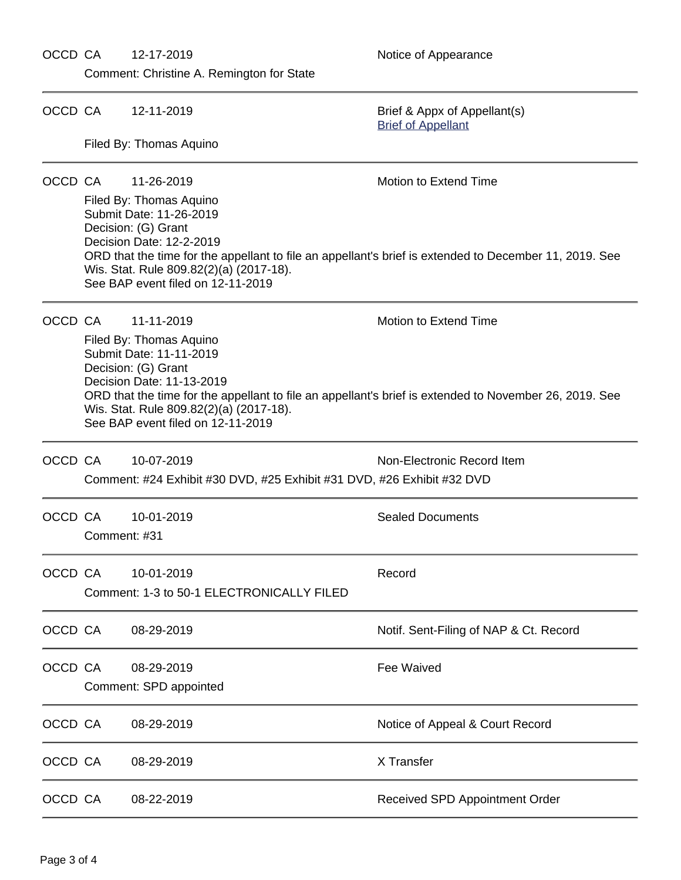### OCCD CA 12-17-2019 Motice of Appearance

2019. See

2019. See

Comment: Christine A. Remington for State

| OCCD CA |                                                                                                                                                                                                                                                                                           | 12-11-2019                                                                           | Brief & Appx of Appellant(s)<br><b>Brief of Appellant</b> |  |  |
|---------|-------------------------------------------------------------------------------------------------------------------------------------------------------------------------------------------------------------------------------------------------------------------------------------------|--------------------------------------------------------------------------------------|-----------------------------------------------------------|--|--|
|         |                                                                                                                                                                                                                                                                                           | Filed By: Thomas Aquino                                                              |                                                           |  |  |
| OCCD CA |                                                                                                                                                                                                                                                                                           | 11-26-2019                                                                           | Motion to Extend Time                                     |  |  |
|         | Filed By: Thomas Aquino<br>Submit Date: 11-26-2019<br>Decision: (G) Grant<br>Decision Date: 12-2-2019<br>ORD that the time for the appellant to file an appellant's brief is extended to December 11, 20<br>Wis. Stat. Rule 809.82(2)(a) (2017-18).<br>See BAP event filed on 12-11-2019  |                                                                                      |                                                           |  |  |
|         | OCCD CA                                                                                                                                                                                                                                                                                   | 11-11-2019                                                                           | <b>Motion to Extend Time</b>                              |  |  |
|         | Filed By: Thomas Aquino<br>Submit Date: 11-11-2019<br>Decision: (G) Grant<br>Decision Date: 11-13-2019<br>ORD that the time for the appellant to file an appellant's brief is extended to November 26, 20<br>Wis. Stat. Rule 809.82(2)(a) (2017-18).<br>See BAP event filed on 12-11-2019 |                                                                                      |                                                           |  |  |
| OCCD CA |                                                                                                                                                                                                                                                                                           | 10-07-2019<br>Comment: #24 Exhibit #30 DVD, #25 Exhibit #31 DVD, #26 Exhibit #32 DVD | Non-Electronic Record Item                                |  |  |
|         | OCCD CA<br>Comment: #31                                                                                                                                                                                                                                                                   | 10-01-2019                                                                           | <b>Sealed Documents</b>                                   |  |  |
| OCCD CA |                                                                                                                                                                                                                                                                                           | 10-01-2019<br>Comment: 1-3 to 50-1 ELECTRONICALLY FILED                              | Record                                                    |  |  |
| OCCD CA |                                                                                                                                                                                                                                                                                           | 08-29-2019                                                                           | Notif. Sent-Filing of NAP & Ct. Record                    |  |  |
| OCCD CA |                                                                                                                                                                                                                                                                                           | 08-29-2019<br>Comment: SPD appointed                                                 | <b>Fee Waived</b>                                         |  |  |
| OCCD CA |                                                                                                                                                                                                                                                                                           | 08-29-2019                                                                           | Notice of Appeal & Court Record                           |  |  |
| OCCD CA |                                                                                                                                                                                                                                                                                           | 08-29-2019                                                                           | X Transfer                                                |  |  |
| OCCD CA |                                                                                                                                                                                                                                                                                           | 08-22-2019                                                                           | Received SPD Appointment Order                            |  |  |